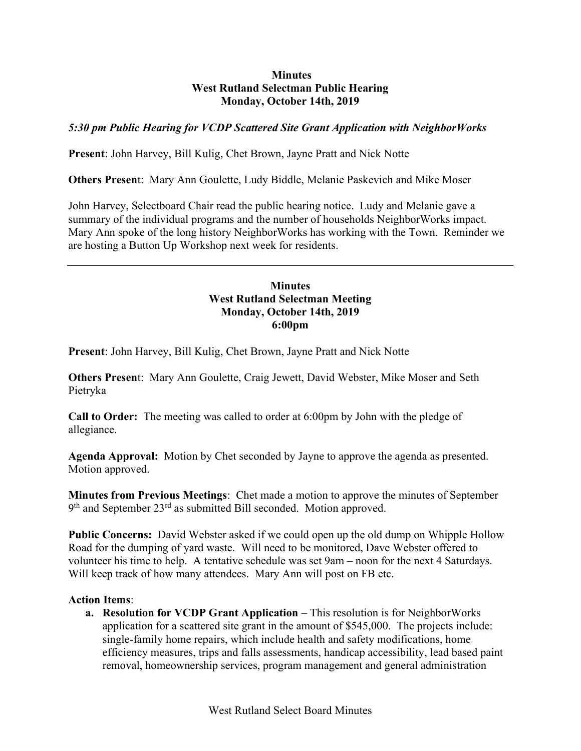## **Minutes** West Rutland Selectman Public Hearing Monday, October 14th, 2019

# 5:30 pm Public Hearing for VCDP Scattered Site Grant Application with NeighborWorks

Present: John Harvey, Bill Kulig, Chet Brown, Jayne Pratt and Nick Notte

Others Present: Mary Ann Goulette, Ludy Biddle, Melanie Paskevich and Mike Moser

John Harvey, Selectboard Chair read the public hearing notice. Ludy and Melanie gave a summary of the individual programs and the number of households NeighborWorks impact. Mary Ann spoke of the long history NeighborWorks has working with the Town. Reminder we are hosting a Button Up Workshop next week for residents.

# Minutes West Rutland Selectman Meeting Monday, October 14th, 2019 6:00pm

Present: John Harvey, Bill Kulig, Chet Brown, Jayne Pratt and Nick Notte

Others Present: Mary Ann Goulette, Craig Jewett, David Webster, Mike Moser and Seth Pietryka

Call to Order: The meeting was called to order at 6:00pm by John with the pledge of allegiance.

Agenda Approval: Motion by Chet seconded by Jayne to approve the agenda as presented. Motion approved.

Minutes from Previous Meetings: Chet made a motion to approve the minutes of September 9<sup>th</sup> and September 23<sup>rd</sup> as submitted Bill seconded. Motion approved.

Public Concerns: David Webster asked if we could open up the old dump on Whipple Hollow Road for the dumping of yard waste. Will need to be monitored, Dave Webster offered to volunteer his time to help. A tentative schedule was set 9am – noon for the next 4 Saturdays. Will keep track of how many attendees. Mary Ann will post on FB etc.

### Action Items:

a. Resolution for VCDP Grant Application – This resolution is for NeighborWorks application for a scattered site grant in the amount of \$545,000. The projects include: single-family home repairs, which include health and safety modifications, home efficiency measures, trips and falls assessments, handicap accessibility, lead based paint removal, homeownership services, program management and general administration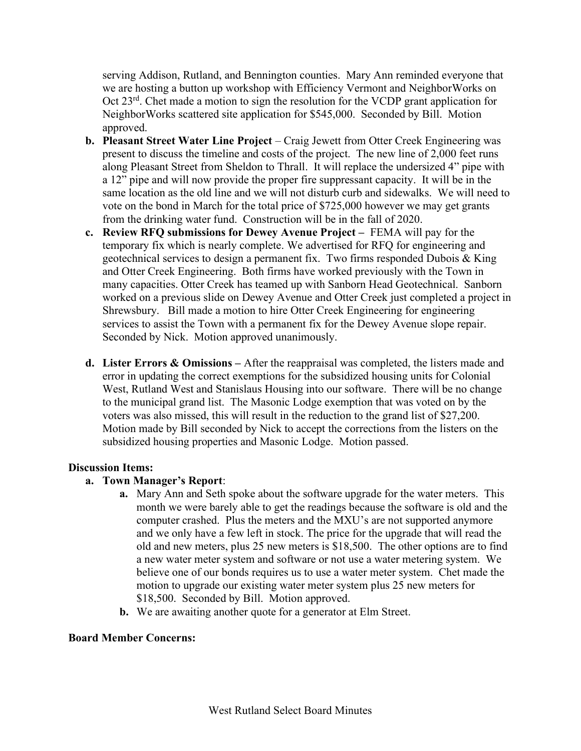serving Addison, Rutland, and Bennington counties. Mary Ann reminded everyone that we are hosting a button up workshop with Efficiency Vermont and NeighborWorks on Oct 23<sup>rd</sup>. Chet made a motion to sign the resolution for the VCDP grant application for NeighborWorks scattered site application for \$545,000. Seconded by Bill. Motion approved.

- b. Pleasant Street Water Line Project Craig Jewett from Otter Creek Engineering was present to discuss the timeline and costs of the project. The new line of 2,000 feet runs along Pleasant Street from Sheldon to Thrall. It will replace the undersized 4" pipe with a 12" pipe and will now provide the proper fire suppressant capacity. It will be in the same location as the old line and we will not disturb curb and sidewalks. We will need to vote on the bond in March for the total price of \$725,000 however we may get grants from the drinking water fund. Construction will be in the fall of 2020.
- c. Review RFQ submissions for Dewey Avenue Project FEMA will pay for the temporary fix which is nearly complete. We advertised for RFQ for engineering and geotechnical services to design a permanent fix. Two firms responded Dubois & King and Otter Creek Engineering. Both firms have worked previously with the Town in many capacities. Otter Creek has teamed up with Sanborn Head Geotechnical. Sanborn worked on a previous slide on Dewey Avenue and Otter Creek just completed a project in Shrewsbury. Bill made a motion to hire Otter Creek Engineering for engineering services to assist the Town with a permanent fix for the Dewey Avenue slope repair. Seconded by Nick. Motion approved unanimously.
- **d.** Lister Errors  $\&$  Omissions After the reappraisal was completed, the listers made and error in updating the correct exemptions for the subsidized housing units for Colonial West, Rutland West and Stanislaus Housing into our software. There will be no change to the municipal grand list. The Masonic Lodge exemption that was voted on by the voters was also missed, this will result in the reduction to the grand list of \$27,200. Motion made by Bill seconded by Nick to accept the corrections from the listers on the subsidized housing properties and Masonic Lodge. Motion passed.

### Discussion Items:

### a. Town Manager's Report:

- a. Mary Ann and Seth spoke about the software upgrade for the water meters. This month we were barely able to get the readings because the software is old and the computer crashed. Plus the meters and the MXU's are not supported anymore and we only have a few left in stock. The price for the upgrade that will read the old and new meters, plus 25 new meters is \$18,500. The other options are to find a new water meter system and software or not use a water metering system. We believe one of our bonds requires us to use a water meter system. Chet made the motion to upgrade our existing water meter system plus 25 new meters for \$18,500. Seconded by Bill. Motion approved.
- **b.** We are awaiting another quote for a generator at Elm Street.

### Board Member Concerns: